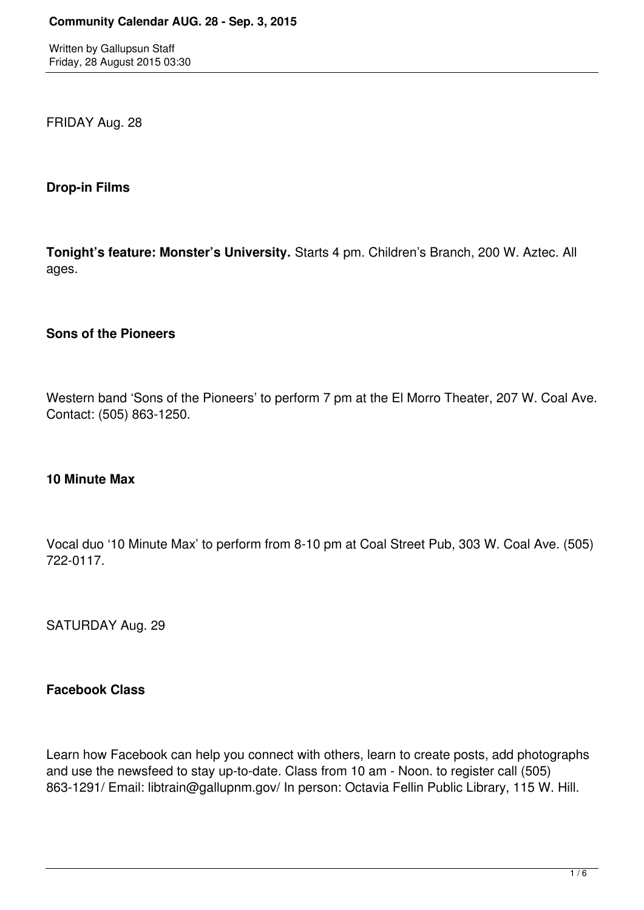FRIDAY Aug. 28

## **Drop-in Films**

**Tonight's feature: Monster's University.** Starts 4 pm. Children's Branch, 200 W. Aztec. All ages.

## **Sons of the Pioneers**

Western band 'Sons of the Pioneers' to perform 7 pm at the El Morro Theater, 207 W. Coal Ave. Contact: (505) 863-1250.

### **10 Minute Max**

Vocal duo '10 Minute Max' to perform from 8-10 pm at Coal Street Pub, 303 W. Coal Ave. (505) 722-0117.

SATURDAY Aug. 29

### **Facebook Class**

Learn how Facebook can help you connect with others, learn to create posts, add photographs and use the newsfeed to stay up-to-date. Class from 10 am - Noon. to register call (505) 863-1291/ Email: libtrain@gallupnm.gov/ In person: Octavia Fellin Public Library, 115 W. Hill.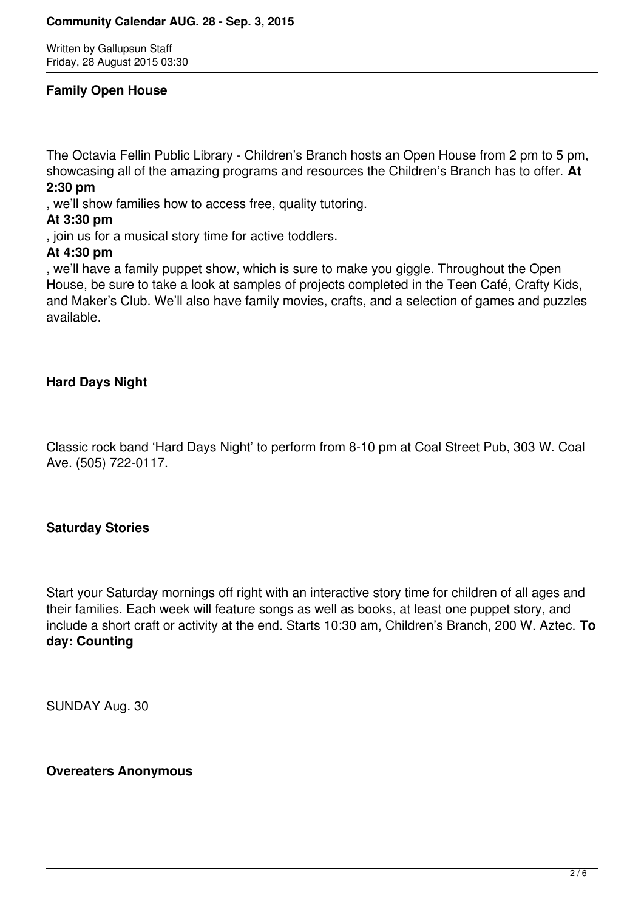## **Family Open House**

The Octavia Fellin Public Library - Children's Branch hosts an Open House from 2 pm to 5 pm, showcasing all of the amazing programs and resources the Children's Branch has to offer. **At 2:30 pm**

, we'll show families how to access free, quality tutoring.

# **At 3:30 pm**

, join us for a musical story time for active toddlers.

## **At 4:30 pm**

, we'll have a family puppet show, which is sure to make you giggle. Throughout the Open House, be sure to take a look at samples of projects completed in the Teen Café, Crafty Kids, and Maker's Club. We'll also have family movies, crafts, and a selection of games and puzzles available.

# **Hard Days Night**

Classic rock band 'Hard Days Night' to perform from 8-10 pm at Coal Street Pub, 303 W. Coal Ave. (505) 722-0117.

# **Saturday Stories**

Start your Saturday mornings off right with an interactive story time for children of all ages and their families. Each week will feature songs as well as books, at least one puppet story, and include a short craft or activity at the end. Starts 10:30 am, Children's Branch, 200 W. Aztec. **To day: Counting**

SUNDAY Aug. 30

### **Overeaters Anonymous**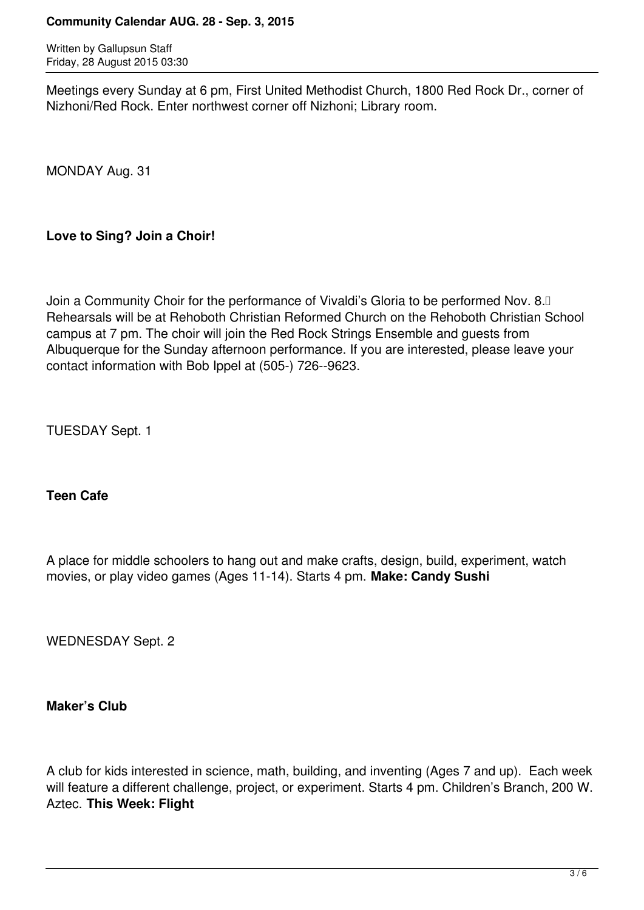#### **Community Calendar AUG. 28 - Sep. 3, 2015**

Written by Gallupsun Staff Friday, 28 August 2015 03:30

Meetings every Sunday at 6 pm, First United Methodist Church, 1800 Red Rock Dr., corner of Nizhoni/Red Rock. Enter northwest corner off Nizhoni; Library room.

MONDAY Aug. 31

# **Love to Sing? Join a Choir!**

Join a Community Choir for the performance of Vivaldi's Gloria to be performed Nov. 8.0 Rehearsals will be at Rehoboth Christian Reformed Church on the Rehoboth Christian School campus at 7 pm. The choir will join the Red Rock Strings Ensemble and guests from Albuquerque for the Sunday afternoon performance. If you are interested, please leave your contact information with Bob Ippel at (505) 726-9623.

TUESDAY Sept. 1

# **Teen Cafe**

A place for middle schoolers to hang out and make crafts, design, build, experiment, watch movies, or play video games (Ages 11-14). Starts 4 pm. **Make: Candy Sushi**

WEDNESDAY Sept. 2

# **Maker's Club**

A club for kids interested in science, math, building, and inventing (Ages 7 and up). Each week will feature a different challenge, project, or experiment. Starts 4 pm. Children's Branch, 200 W. Aztec. **This Week: Flight**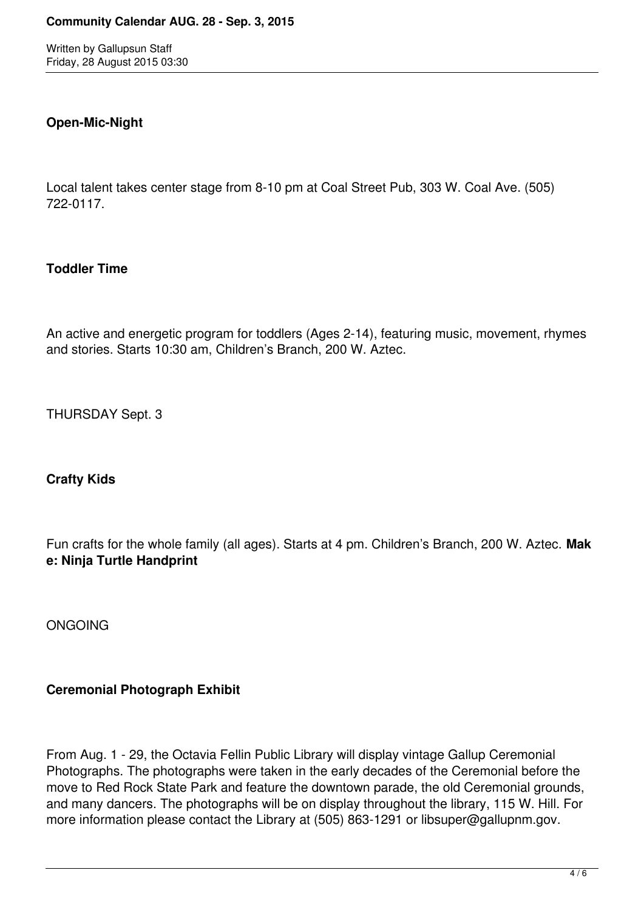# **Open-Mic-Night**

Local talent takes center stage from 8-10 pm at Coal Street Pub, 303 W. Coal Ave. (505) 722-0117.

## **Toddler Time**

An active and energetic program for toddlers (Ages 2-14), featuring music, movement, rhymes and stories. Starts 10:30 am, Children's Branch, 200 W. Aztec.

THURSDAY Sept. 3

### **Crafty Kids**

Fun crafts for the whole family (all ages). Starts at 4 pm. Children's Branch, 200 W. Aztec. **Mak e: Ninja Turtle Handprint**

ONGOING

# **Ceremonial Photograph Exhibit**

From Aug. 1 - 29, the Octavia Fellin Public Library will display vintage Gallup Ceremonial Photographs. The photographs were taken in the early decades of the Ceremonial before the move to Red Rock State Park and feature the downtown parade, the old Ceremonial grounds, and many dancers. The photographs will be on display throughout the library, 115 W. Hill. For more information please contact the Library at (505) 863-1291 or libsuper@gallupnm.gov.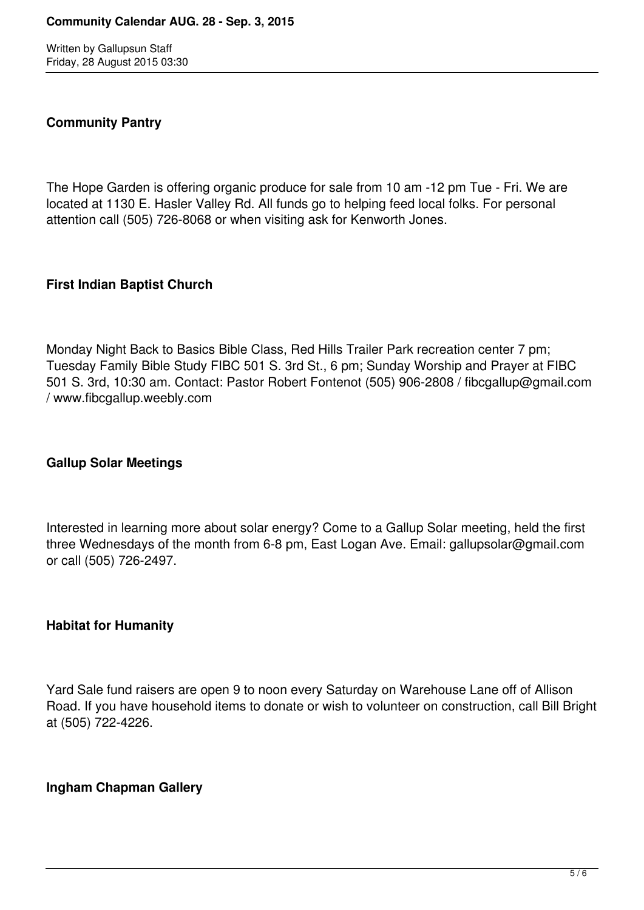## **Community Pantry**

The Hope Garden is offering organic produce for sale from 10 am -12 pm Tue - Fri. We are located at 1130 E. Hasler Valley Rd. All funds go to helping feed local folks. For personal attention call (505) 726-8068 or when visiting ask for Kenworth Jones.

### **First Indian Baptist Church**

Monday Night Back to Basics Bible Class, Red Hills Trailer Park recreation center 7 pm; Tuesday Family Bible Study FIBC 501 S. 3rd St., 6 pm; Sunday Worship and Prayer at FIBC 501 S. 3rd, 10:30 am. Contact: Pastor Robert Fontenot (505) 906-2808 / fibcgallup@gmail.com / www.fibcgallup.weebly.com

# **Gallup Solar Meetings**

Interested in learning more about solar energy? Come to a Gallup Solar meeting, held the first three Wednesdays of the month from 6-8 pm, East Logan Ave. Email: gallupsolar@gmail.com or call (505) 726-2497.

### **Habitat for Humanity**

Yard Sale fund raisers are open 9 to noon every Saturday on Warehouse Lane off of Allison Road. If you have household items to donate or wish to volunteer on construction, call Bill Bright at (505) 722-4226.

### **Ingham Chapman Gallery**